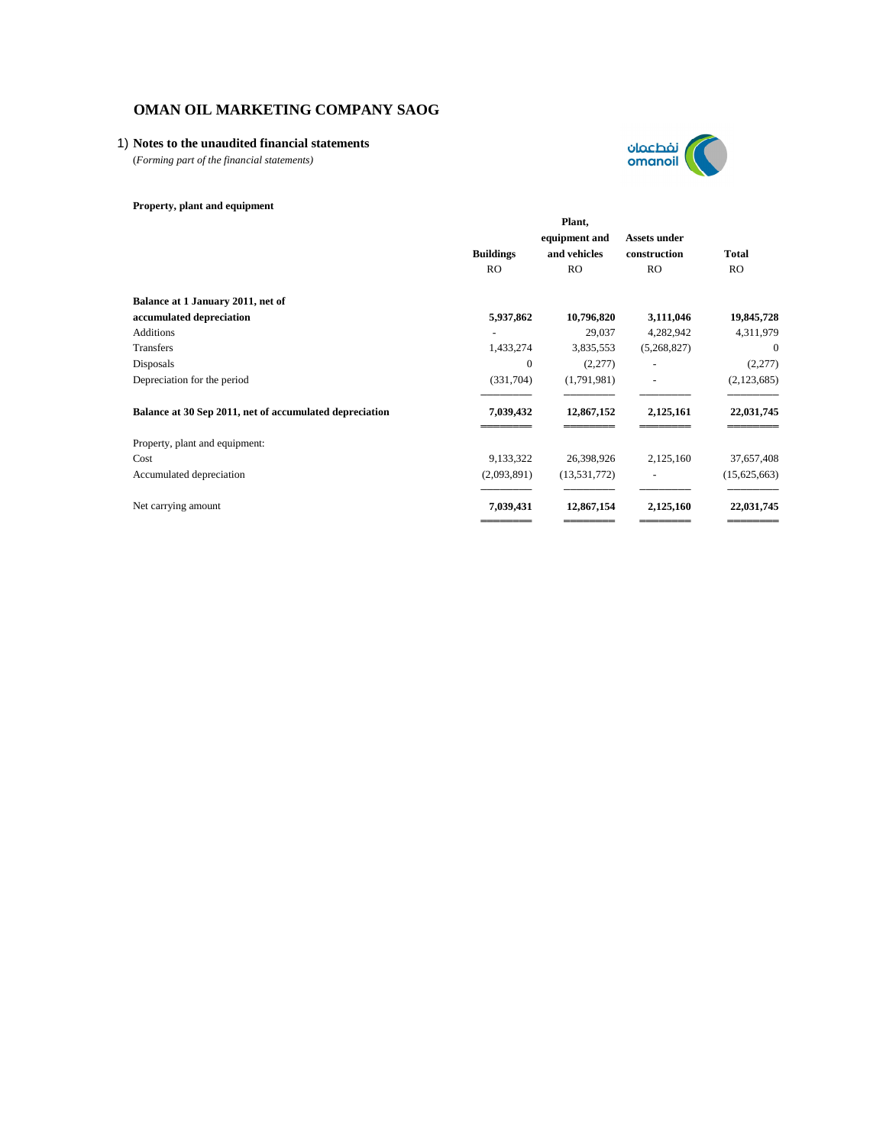# 1) **Notes to the unaudited financial statements**

(*Forming part of the financial statements)*

# **Property, plant and equipment**

|                                                         | Plant,           |                |                          |              |
|---------------------------------------------------------|------------------|----------------|--------------------------|--------------|
|                                                         |                  | equipment and  | Assets under             |              |
|                                                         | <b>Buildings</b> | and vehicles   | construction             | <b>Total</b> |
|                                                         | <b>RO</b>        | <b>RO</b>      | <b>RO</b>                | RO.          |
| Balance at 1 January 2011, net of                       |                  |                |                          |              |
| accumulated depreciation                                | 5,937,862        | 10,796,820     | 3,111,046                | 19,845,728   |
| <b>Additions</b>                                        |                  | 29,037         | 4,282,942                | 4,311,979    |
| Transfers                                               | 1,433,274        | 3,835,553      | (5,268,827)              | $\theta$     |
| Disposals                                               | $\theta$         | (2,277)        | $\overline{\phantom{a}}$ | (2,277)      |
| Depreciation for the period                             | (331,704)        | (1,791,981)    | ٠                        | (2,123,685)  |
| Balance at 30 Sep 2011, net of accumulated depreciation | 7,039,432        | 12,867,152     | 2,125,161                | 22,031,745   |
| Property, plant and equipment:                          |                  |                |                          |              |
| Cost                                                    | 9,133,322        | 26,398,926     | 2,125,160                | 37,657,408   |
| Accumulated depreciation                                | (2,093,891)      | (13, 531, 772) |                          | (15,625,663) |
| Net carrying amount                                     | 7,039,431        | 12,867,154     | 2,125,160                | 22,031,745   |
|                                                         |                  |                |                          |              |

نفطعمان<br>omanoil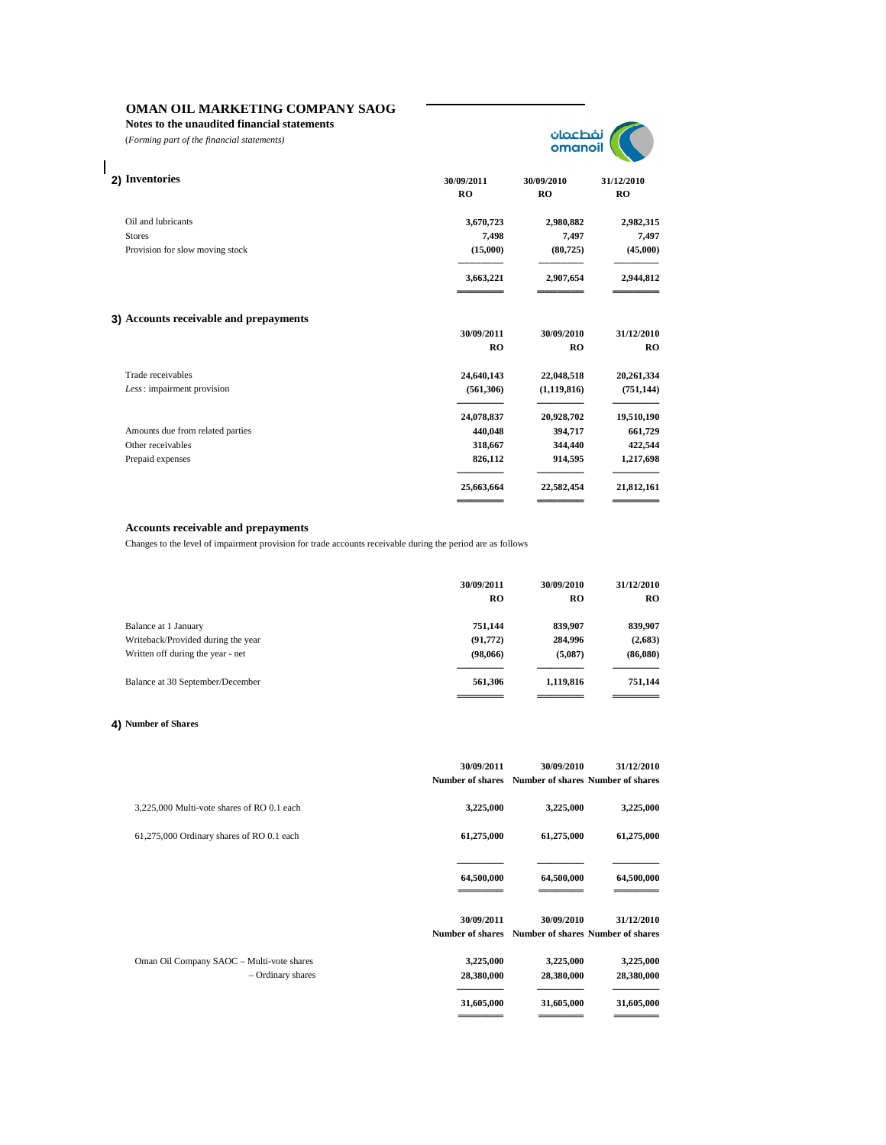**Notes to the unaudited financial statements**

(*Forming part of the financial statements)*

 $\overline{\phantom{a}}$ 



| 30/09/2011<br><b>RO</b> | 30/09/2010<br><b>RO</b> | 31/12/2010<br><b>RO</b> |
|-------------------------|-------------------------|-------------------------|
| 3,670,723               | 2,980,882               | 2,982,315               |
| 7,498                   | 7,497                   | 7,497                   |
| (15,000)                | (80, 725)               | (45,000)                |
| 3,663,221               | 2,907,654               | 2,944,812               |
|                         |                         |                         |
| 30/09/2011              | 30/09/2010              | 31/12/2010              |
| R <sub>O</sub>          | R <sub>O</sub>          | <b>RO</b>               |
| 24,640,143              | 22,048,518              | 20,261,334              |
| (561, 306)              | (1, 119, 816)           | (751, 144)              |
| 24,078,837              | 20,928,702              | 19,510,190              |
| 440,048                 | 394,717                 | 661,729                 |
| 318,667                 | 344,440                 | 422,544                 |
| 826,112                 | 914,595                 | 1,217,698               |
| 25,663,664              | 22,582,454              | 21,812,161              |
|                         |                         |                         |

# **Accounts receivable and prepayments**

Changes to the level of impairment provision for trade accounts receivable during the period are as follows

|                                    | 30/09/2011<br><b>RO</b> | 30/09/2010<br><b>RO</b> | 31/12/2010<br>RO |
|------------------------------------|-------------------------|-------------------------|------------------|
| Balance at 1 January               | 751.144                 | 839,907                 | 839,907          |
| Writeback/Provided during the year | (91, 772)               | 284,996                 | (2,683)          |
| Written off during the year - net  | (98,066)                | (5,087)                 | (86,080)         |
| Balance at 30 September/December   | 561,306                 | 1,119,816               | 751,144          |
|                                    |                         |                         |                  |

## **4) Number of Shares**

|                                                                | 30/09/2011<br><b>Number of shares</b> | 30/09/2010<br>Number of shares Number of shares | 31/12/2010              |
|----------------------------------------------------------------|---------------------------------------|-------------------------------------------------|-------------------------|
| 3,225,000 Multi-vote shares of RO 0.1 each                     | 3,225,000                             | 3,225,000                                       | 3,225,000               |
| 61,275,000 Ordinary shares of RO 0.1 each                      | 61,275,000                            | 61,275,000                                      | 61,275,000              |
|                                                                | 64,500,000                            | 64,500,000                                      | 64,500,000              |
|                                                                | 30/09/2011<br><b>Number of shares</b> | 30/09/2010<br>Number of shares Number of shares | 31/12/2010              |
| Oman Oil Company SAOC - Multi-vote shares<br>- Ordinary shares | 3,225,000<br>28,380,000               | 3,225,000<br>28,380,000                         | 3,225,000<br>28,380,000 |
|                                                                | 31,605,000<br>=======                 | 31,605,000<br>=====                             | 31,605,000              |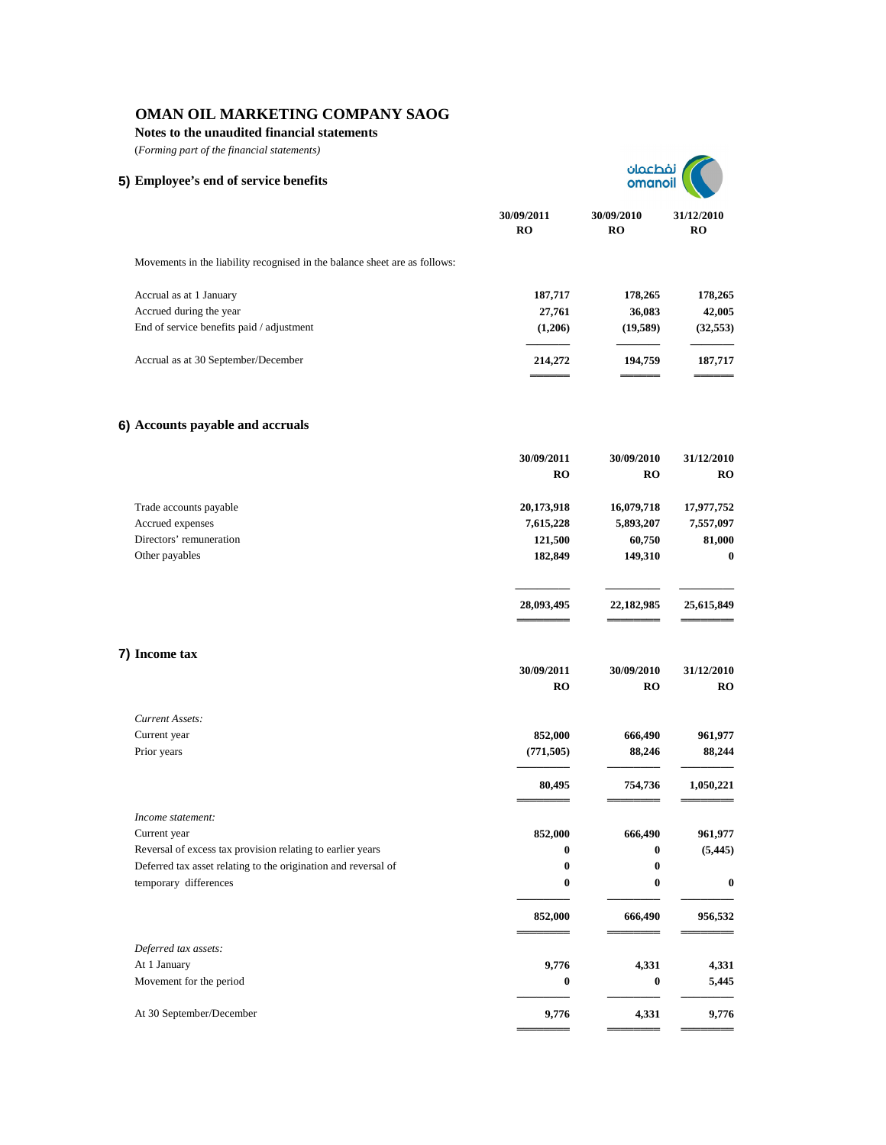**Notes to the unaudited financial statements**

| (Forming part of the financial statements)                                              |                         |                         |                         |
|-----------------------------------------------------------------------------------------|-------------------------|-------------------------|-------------------------|
| 5) Employee's end of service benefits                                                   |                         | نفطعمان<br>omanoi       |                         |
|                                                                                         | 30/09/2011<br><b>RO</b> | 30/09/2010<br><b>RO</b> | 31/12/2010<br><b>RO</b> |
| Movements in the liability recognised in the balance sheet are as follows:              |                         |                         |                         |
| Accrual as at 1 January                                                                 | 187,717                 | 178,265                 | 178,265                 |
| Accrued during the year                                                                 | 27,761                  | 36,083                  | 42,005                  |
| End of service benefits paid / adjustment                                               | (1,206)                 | (19,589)                | (32, 553)               |
| Accrual as at 30 September/December                                                     | 214,272                 | 194,759                 | 187,717                 |
| 6) Accounts payable and accruals                                                        |                         |                         |                         |
|                                                                                         | 30/09/2011              | 30/09/2010              | 31/12/2010              |
|                                                                                         | <b>RO</b>               | RO                      | <b>RO</b>               |
| Trade accounts payable                                                                  | 20,173,918              | 16,079,718              | 17,977,752              |
| Accrued expenses                                                                        | 7,615,228               | 5,893,207               | 7,557,097               |
| Directors' remuneration                                                                 | 121,500                 | 60,750                  | 81,000                  |
| Other payables                                                                          | 182,849                 | 149,310                 | $\bf{0}$                |
|                                                                                         | 28,093,495              | 22,182,985              | 25,615,849              |
| 7) Income tax                                                                           |                         |                         |                         |
|                                                                                         | 30/09/2011              | 30/09/2010              | 31/12/2010              |
|                                                                                         | <b>RO</b>               | RO                      | <b>RO</b>               |
| Current Assets:                                                                         |                         |                         |                         |
| Current year                                                                            | 852,000                 | 666,490                 | 961,977                 |
| Prior years                                                                             | (771, 505)              | 88,246                  | 88,244                  |
|                                                                                         | 80,495                  | 754,736                 | 1,050,221               |
| Income statement:                                                                       |                         |                         |                         |
| Current year                                                                            | 852,000                 | 666,490                 | 961,977                 |
| Reversal of excess tax provision relating to earlier years                              | 0                       | 0                       | (5, 445)                |
| Deferred tax asset relating to the origination and reversal of<br>temporary differences | $\bf{0}$<br>$\bf{0}$    | 0<br>$\boldsymbol{0}$   | $\bf{0}$                |
|                                                                                         |                         |                         |                         |
|                                                                                         | 852,000                 | 666,490                 | 956,532                 |
| Deferred tax assets:                                                                    |                         |                         |                         |
| At 1 January                                                                            | 9,776                   | 4,331                   | 4,331                   |
| Movement for the period                                                                 | 0                       | $\boldsymbol{0}$        | 5,445                   |
| At 30 September/December                                                                | 9,776                   | 4,331                   | 9,776                   |
|                                                                                         |                         |                         |                         |